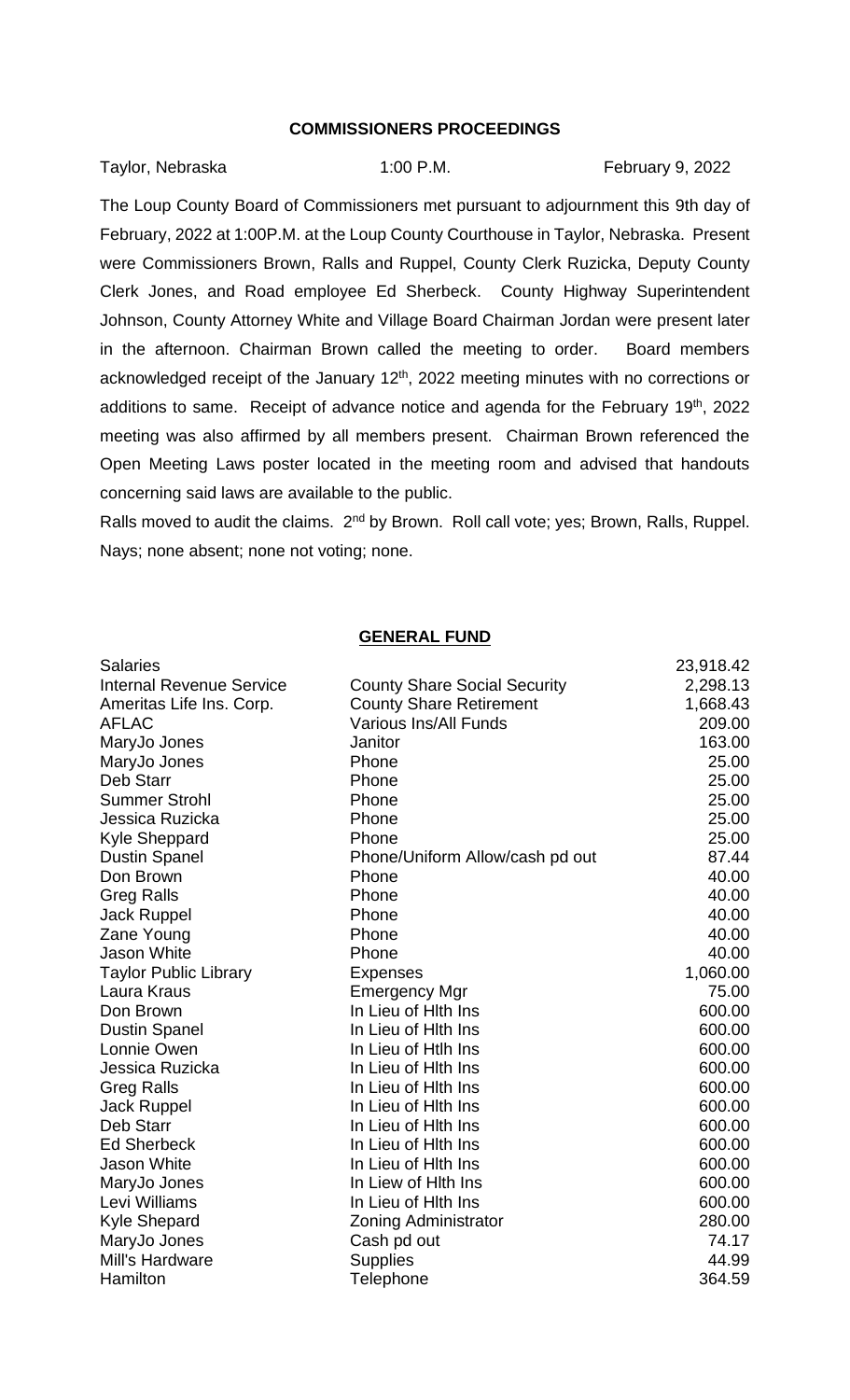## **COMMISSIONERS PROCEEDINGS**

Taylor, Nebraska 1:00 P.M. February 9, 2022

The Loup County Board of Commissioners met pursuant to adjournment this 9th day of February, 2022 at 1:00P.M. at the Loup County Courthouse in Taylor, Nebraska. Present were Commissioners Brown, Ralls and Ruppel, County Clerk Ruzicka, Deputy County Clerk Jones, and Road employee Ed Sherbeck. County Highway Superintendent Johnson, County Attorney White and Village Board Chairman Jordan were present later in the afternoon. Chairman Brown called the meeting to order. Board members acknowledged receipt of the January 12<sup>th</sup>, 2022 meeting minutes with no corrections or additions to same. Receipt of advance notice and agenda for the February 19<sup>th</sup>, 2022 meeting was also affirmed by all members present. Chairman Brown referenced the Open Meeting Laws poster located in the meeting room and advised that handouts concerning said laws are available to the public.

Ralls moved to audit the claims. 2<sup>nd</sup> by Brown. Roll call vote; yes; Brown, Ralls, Ruppel. Nays; none absent; none not voting; none.

## **GENERAL FUND**

| <b>Salaries</b>                 |                                     | 23,918.42 |
|---------------------------------|-------------------------------------|-----------|
| <b>Internal Revenue Service</b> | <b>County Share Social Security</b> | 2,298.13  |
| Ameritas Life Ins. Corp.        | <b>County Share Retirement</b>      | 1,668.43  |
| <b>AFLAC</b>                    | <b>Various Ins/All Funds</b>        | 209.00    |
| MaryJo Jones                    | Janitor                             | 163.00    |
| MaryJo Jones                    | Phone                               | 25.00     |
| Deb Starr                       | Phone                               | 25.00     |
| <b>Summer Strohl</b>            | Phone                               | 25.00     |
| Jessica Ruzicka                 | Phone                               | 25.00     |
| <b>Kyle Sheppard</b>            | Phone                               | 25.00     |
| <b>Dustin Spanel</b>            | Phone/Uniform Allow/cash pd out     | 87.44     |
| Don Brown                       | Phone                               | 40.00     |
| <b>Greg Ralls</b>               | Phone                               | 40.00     |
| <b>Jack Ruppel</b>              | Phone                               | 40.00     |
| Zane Young                      | Phone                               | 40.00     |
| Jason White                     | Phone                               | 40.00     |
| <b>Taylor Public Library</b>    | <b>Expenses</b>                     | 1,060.00  |
| Laura Kraus                     | <b>Emergency Mgr</b>                | 75.00     |
| Don Brown                       | In Lieu of Hith Ins                 | 600.00    |
| <b>Dustin Spanel</b>            | In Lieu of Hith Ins                 | 600.00    |
| Lonnie Owen                     | In Lieu of Htlh Ins                 | 600.00    |
| Jessica Ruzicka                 | In Lieu of Hith Ins                 | 600.00    |
| <b>Greg Ralls</b>               | In Lieu of Hith Ins                 | 600.00    |
| <b>Jack Ruppel</b>              | In Lieu of Hith Ins                 | 600.00    |
| Deb Starr                       | In Lieu of Hith Ins                 | 600.00    |
| <b>Ed Sherbeck</b>              | In Lieu of Hith Ins                 | 600.00    |
| <b>Jason White</b>              | In Lieu of Hith Ins                 | 600.00    |
| MaryJo Jones                    | In Liew of Hith Ins                 | 600.00    |
| Levi Williams                   | In Lieu of Hith Ins                 | 600.00    |
| <b>Kyle Shepard</b>             | Zoning Administrator                | 280.00    |
| MaryJo Jones                    | Cash pd out                         | 74.17     |
| Mill's Hardware                 | <b>Supplies</b>                     | 44.99     |
| Hamilton                        | Telephone                           | 364.59    |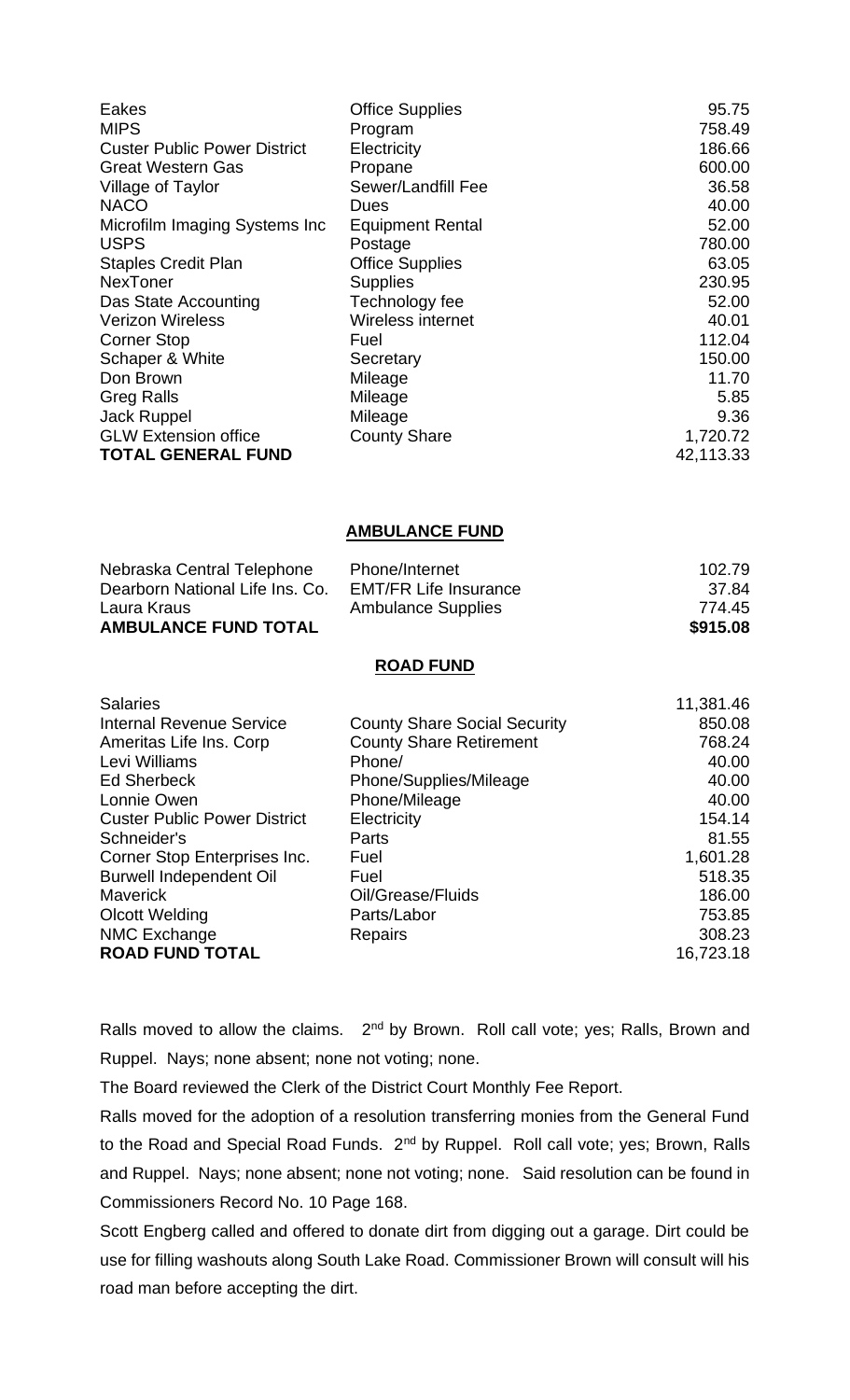| Eakes                               | <b>Office Supplies</b>  | 95.75     |
|-------------------------------------|-------------------------|-----------|
| <b>MIPS</b>                         | Program                 | 758.49    |
| <b>Custer Public Power District</b> | Electricity             | 186.66    |
| <b>Great Western Gas</b>            | Propane                 | 600.00    |
| Village of Taylor                   | Sewer/Landfill Fee      | 36.58     |
| <b>NACO</b>                         | Dues                    | 40.00     |
| Microfilm Imaging Systems Inc       | <b>Equipment Rental</b> | 52.00     |
| <b>USPS</b>                         | Postage                 | 780.00    |
| <b>Staples Credit Plan</b>          | <b>Office Supplies</b>  | 63.05     |
| <b>NexToner</b>                     | <b>Supplies</b>         | 230.95    |
| Das State Accounting                | Technology fee          | 52.00     |
| <b>Verizon Wireless</b>             | Wireless internet       | 40.01     |
| <b>Corner Stop</b>                  | Fuel                    | 112.04    |
| Schaper & White                     | Secretary               | 150.00    |
| Don Brown                           | Mileage                 | 11.70     |
| <b>Greg Ralls</b>                   | Mileage                 | 5.85      |
| <b>Jack Ruppel</b>                  | Mileage                 | 9.36      |
| <b>GLW Extension office</b>         | <b>County Share</b>     | 1,720.72  |
| <b>TOTAL GENERAL FUND</b>           |                         | 42,113.33 |

## **AMBULANCE FUND**

| Laura Kraus<br><b>AMBULANCE FUND TOTAL</b> | 774.45<br>\$915.08                                        |        |
|--------------------------------------------|-----------------------------------------------------------|--------|
| Dearborn National Life Ins. Co.            | <b>EMT/FR Life Insurance</b><br><b>Ambulance Supplies</b> | 37.84  |
| Nebraska Central Telephone                 | Phone/Internet                                            | 102.79 |

## **ROAD FUND**

| <b>Salaries</b>                     |                                     | 11,381.46 |
|-------------------------------------|-------------------------------------|-----------|
| <b>Internal Revenue Service</b>     | <b>County Share Social Security</b> | 850.08    |
| Ameritas Life Ins. Corp             | <b>County Share Retirement</b>      | 768.24    |
| Levi Williams                       | Phone/                              | 40.00     |
| <b>Ed Sherbeck</b>                  | Phone/Supplies/Mileage              | 40.00     |
| Lonnie Owen                         | Phone/Mileage                       | 40.00     |
| <b>Custer Public Power District</b> | Electricity                         | 154.14    |
| Schneider's                         | Parts                               | 81.55     |
| Corner Stop Enterprises Inc.        | Fuel                                | 1,601.28  |
| <b>Burwell Independent Oil</b>      | Fuel                                | 518.35    |
| <b>Maverick</b>                     | Oil/Grease/Fluids                   | 186.00    |
| <b>Olcott Welding</b>               | Parts/Labor                         | 753.85    |
| NMC Exchange                        | Repairs                             | 308.23    |
| <b>ROAD FUND TOTAL</b>              |                                     | 16,723.18 |
|                                     |                                     |           |

Ralls moved to allow the claims.  $2<sup>nd</sup>$  by Brown. Roll call vote; yes; Ralls, Brown and Ruppel. Nays; none absent; none not voting; none.

The Board reviewed the Clerk of the District Court Monthly Fee Report.

Ralls moved for the adoption of a resolution transferring monies from the General Fund to the Road and Special Road Funds. 2<sup>nd</sup> by Ruppel. Roll call vote; yes; Brown, Ralls and Ruppel. Nays; none absent; none not voting; none. Said resolution can be found in Commissioners Record No. 10 Page 168.

Scott Engberg called and offered to donate dirt from digging out a garage. Dirt could be use for filling washouts along South Lake Road. Commissioner Brown will consult will his road man before accepting the dirt.